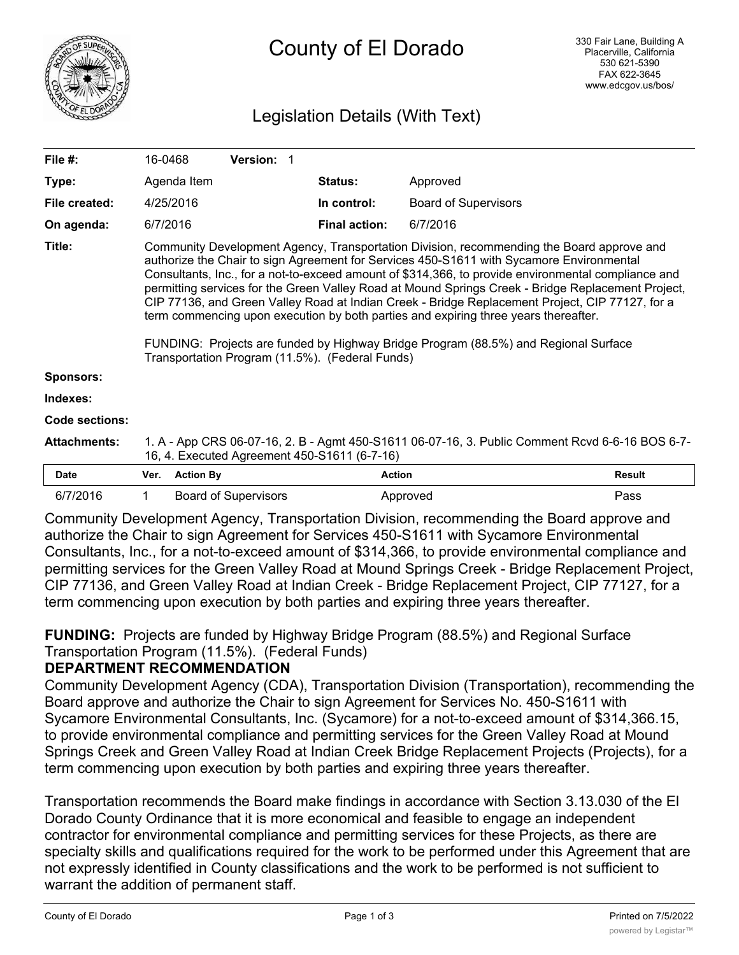

# Legislation Details (With Text)

| File $#$ :            | 16-0468                                                                                                                                                                                                                                                                                                                                                                                                                                                                                                                                                                                                                                                                                                                                |                  | <b>Version: 1</b>           |  |                      |                             |               |
|-----------------------|----------------------------------------------------------------------------------------------------------------------------------------------------------------------------------------------------------------------------------------------------------------------------------------------------------------------------------------------------------------------------------------------------------------------------------------------------------------------------------------------------------------------------------------------------------------------------------------------------------------------------------------------------------------------------------------------------------------------------------------|------------------|-----------------------------|--|----------------------|-----------------------------|---------------|
| Type:                 |                                                                                                                                                                                                                                                                                                                                                                                                                                                                                                                                                                                                                                                                                                                                        | Agenda Item      |                             |  | <b>Status:</b>       | Approved                    |               |
| File created:         |                                                                                                                                                                                                                                                                                                                                                                                                                                                                                                                                                                                                                                                                                                                                        | 4/25/2016        |                             |  | In control:          | <b>Board of Supervisors</b> |               |
| On agenda:            | 6/7/2016                                                                                                                                                                                                                                                                                                                                                                                                                                                                                                                                                                                                                                                                                                                               |                  |                             |  | <b>Final action:</b> | 6/7/2016                    |               |
| Title:                | Community Development Agency, Transportation Division, recommending the Board approve and<br>authorize the Chair to sign Agreement for Services 450-S1611 with Sycamore Environmental<br>Consultants, Inc., for a not-to-exceed amount of \$314,366, to provide environmental compliance and<br>permitting services for the Green Valley Road at Mound Springs Creek - Bridge Replacement Project,<br>CIP 77136, and Green Valley Road at Indian Creek - Bridge Replacement Project, CIP 77127, for a<br>term commencing upon execution by both parties and expiring three years thereafter.<br>FUNDING: Projects are funded by Highway Bridge Program (88.5%) and Regional Surface<br>Transportation Program (11.5%). (Federal Funds) |                  |                             |  |                      |                             |               |
| <b>Sponsors:</b>      |                                                                                                                                                                                                                                                                                                                                                                                                                                                                                                                                                                                                                                                                                                                                        |                  |                             |  |                      |                             |               |
| Indexes:              |                                                                                                                                                                                                                                                                                                                                                                                                                                                                                                                                                                                                                                                                                                                                        |                  |                             |  |                      |                             |               |
| <b>Code sections:</b> |                                                                                                                                                                                                                                                                                                                                                                                                                                                                                                                                                                                                                                                                                                                                        |                  |                             |  |                      |                             |               |
| <b>Attachments:</b>   | 1. A - App CRS 06-07-16, 2. B - Agmt 450-S1611 06-07-16, 3. Public Comment Rcvd 6-6-16 BOS 6-7-<br>16, 4. Executed Agreement 450-S1611 (6-7-16)                                                                                                                                                                                                                                                                                                                                                                                                                                                                                                                                                                                        |                  |                             |  |                      |                             |               |
| <b>Date</b>           | Ver.                                                                                                                                                                                                                                                                                                                                                                                                                                                                                                                                                                                                                                                                                                                                   | <b>Action By</b> |                             |  | <b>Action</b>        |                             | <b>Result</b> |
| 6/7/2016              | 1                                                                                                                                                                                                                                                                                                                                                                                                                                                                                                                                                                                                                                                                                                                                      |                  | <b>Board of Supervisors</b> |  |                      | Approved                    | Pass          |

Community Development Agency, Transportation Division, recommending the Board approve and authorize the Chair to sign Agreement for Services 450-S1611 with Sycamore Environmental Consultants, Inc., for a not-to-exceed amount of \$314,366, to provide environmental compliance and permitting services for the Green Valley Road at Mound Springs Creek - Bridge Replacement Project, CIP 77136, and Green Valley Road at Indian Creek - Bridge Replacement Project, CIP 77127, for a term commencing upon execution by both parties and expiring three years thereafter.

**FUNDING:** Projects are funded by Highway Bridge Program (88.5%) and Regional Surface Transportation Program (11.5%). (Federal Funds)

### **DEPARTMENT RECOMMENDATION**

Community Development Agency (CDA), Transportation Division (Transportation), recommending the Board approve and authorize the Chair to sign Agreement for Services No. 450-S1611 with Sycamore Environmental Consultants, Inc. (Sycamore) for a not-to-exceed amount of \$314,366.15, to provide environmental compliance and permitting services for the Green Valley Road at Mound Springs Creek and Green Valley Road at Indian Creek Bridge Replacement Projects (Projects), for a term commencing upon execution by both parties and expiring three years thereafter.

Transportation recommends the Board make findings in accordance with Section 3.13.030 of the El Dorado County Ordinance that it is more economical and feasible to engage an independent contractor for environmental compliance and permitting services for these Projects, as there are specialty skills and qualifications required for the work to be performed under this Agreement that are not expressly identified in County classifications and the work to be performed is not sufficient to warrant the addition of permanent staff.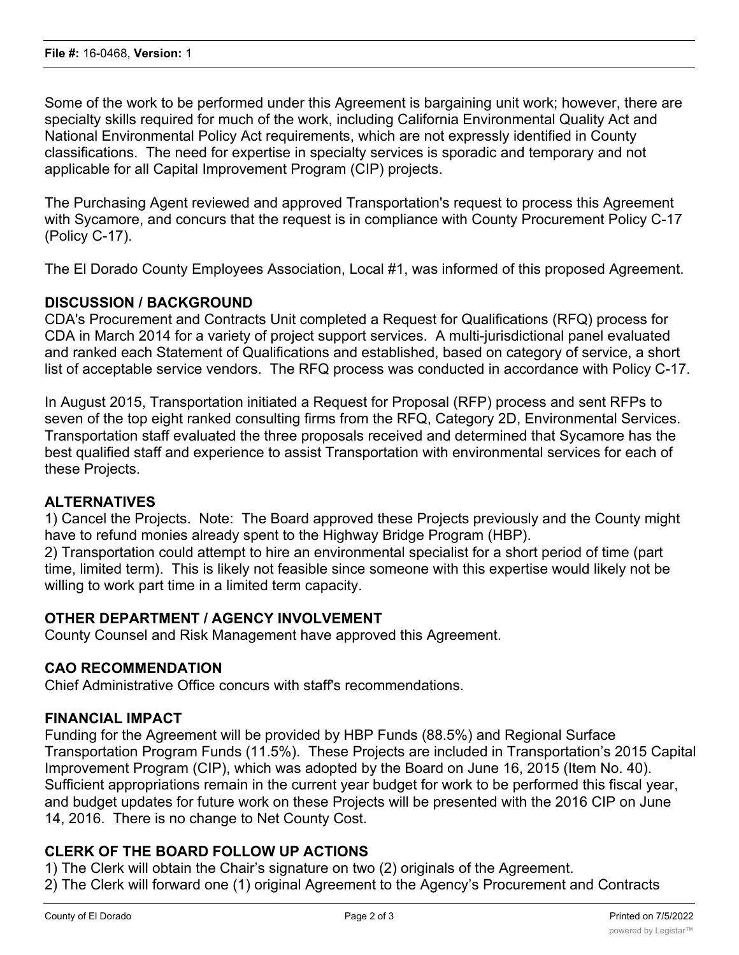Some of the work to be performed under this Agreement is bargaining unit work; however, there are specialty skills required for much of the work, including California Environmental Quality Act and National Environmental Policy Act requirements, which are not expressly identified in County classifications. The need for expertise in specialty services is sporadic and temporary and not applicable for all Capital Improvement Program (CIP) projects.

The Purchasing Agent reviewed and approved Transportation's request to process this Agreement with Sycamore, and concurs that the request is in compliance with County Procurement Policy C-17 (Policy C-17).

The El Dorado County Employees Association, Local #1, was informed of this proposed Agreement.

#### **DISCUSSION / BACKGROUND**

CDA's Procurement and Contracts Unit completed a Request for Qualifications (RFQ) process for CDA in March 2014 for a variety of project support services. A multi-jurisdictional panel evaluated and ranked each Statement of Qualifications and established, based on category of service, a short list of acceptable service vendors. The RFQ process was conducted in accordance with Policy C-17.

In August 2015, Transportation initiated a Request for Proposal (RFP) process and sent RFPs to seven of the top eight ranked consulting firms from the RFQ, Category 2D, Environmental Services. Transportation staff evaluated the three proposals received and determined that Sycamore has the best qualified staff and experience to assist Transportation with environmental services for each of these Projects.

#### **ALTERNATIVES**

1) Cancel the Projects. Note: The Board approved these Projects previously and the County might have to refund monies already spent to the Highway Bridge Program (HBP).

2) Transportation could attempt to hire an environmental specialist for a short period of time (part time, limited term). This is likely not feasible since someone with this expertise would likely not be willing to work part time in a limited term capacity.

#### **OTHER DEPARTMENT / AGENCY INVOLVEMENT**

County Counsel and Risk Management have approved this Agreement.

#### **CAO RECOMMENDATION**

Chief Administrative Office concurs with staff's recommendations.

#### **FINANCIAL IMPACT**

Funding for the Agreement will be provided by HBP Funds (88.5%) and Regional Surface Transportation Program Funds (11.5%). These Projects are included in Transportation's 2015 Capital Improvement Program (CIP), which was adopted by the Board on June 16, 2015 (Item No. 40). Sufficient appropriations remain in the current year budget for work to be performed this fiscal year, and budget updates for future work on these Projects will be presented with the 2016 CIP on June 14, 2016. There is no change to Net County Cost.

#### **CLERK OF THE BOARD FOLLOW UP ACTIONS**

1) The Clerk will obtain the Chair's signature on two (2) originals of the Agreement.

2) The Clerk will forward one (1) original Agreement to the Agency's Procurement and Contracts